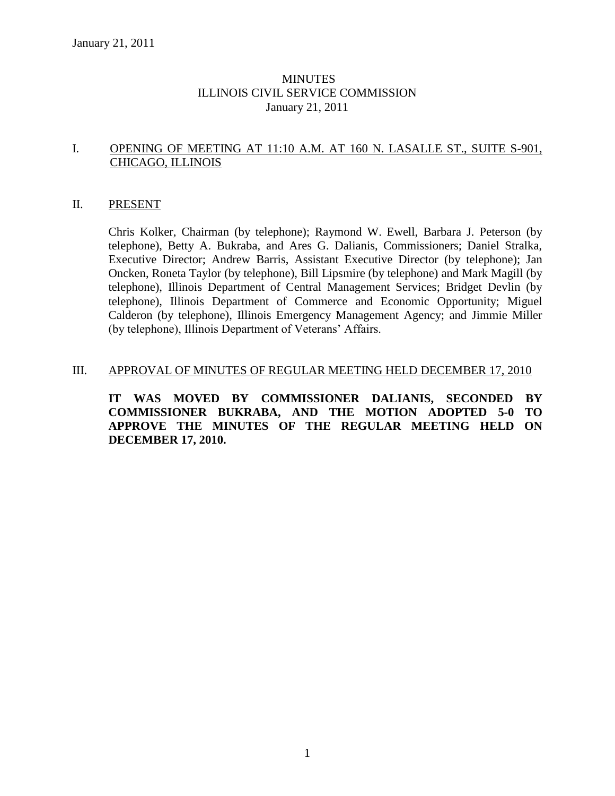# **MINUTES** ILLINOIS CIVIL SERVICE COMMISSION January 21, 2011

# I. OPENING OF MEETING AT 11:10 A.M. AT 160 N. LASALLE ST., SUITE S-901, CHICAGO, ILLINOIS

# II. PRESENT

Chris Kolker, Chairman (by telephone); Raymond W. Ewell, Barbara J. Peterson (by telephone), Betty A. Bukraba, and Ares G. Dalianis, Commissioners; Daniel Stralka, Executive Director; Andrew Barris, Assistant Executive Director (by telephone); Jan Oncken, Roneta Taylor (by telephone), Bill Lipsmire (by telephone) and Mark Magill (by telephone), Illinois Department of Central Management Services; Bridget Devlin (by telephone), Illinois Department of Commerce and Economic Opportunity; Miguel Calderon (by telephone), Illinois Emergency Management Agency; and Jimmie Miller (by telephone), Illinois Department of Veterans' Affairs.

# III. APPROVAL OF MINUTES OF REGULAR MEETING HELD DECEMBER 17, 2010

**IT WAS MOVED BY COMMISSIONER DALIANIS, SECONDED BY COMMISSIONER BUKRABA, AND THE MOTION ADOPTED 5-0 TO APPROVE THE MINUTES OF THE REGULAR MEETING HELD ON DECEMBER 17, 2010.**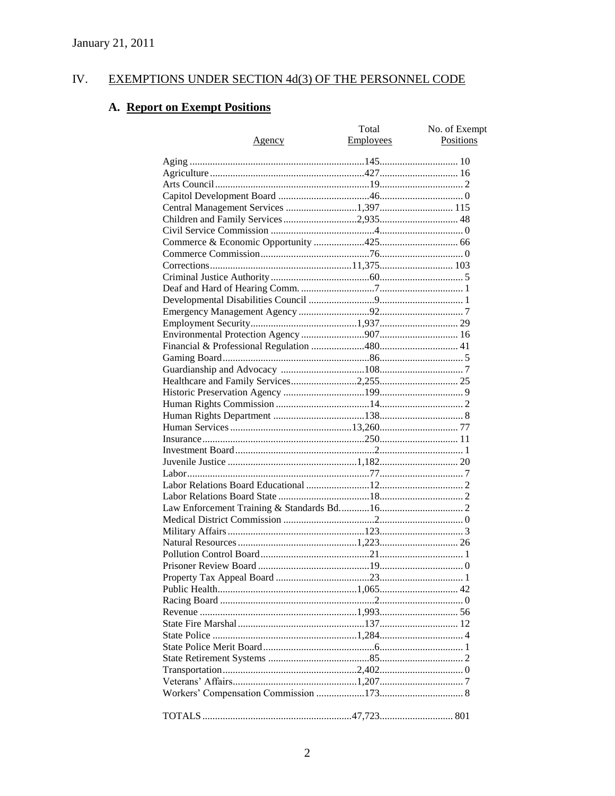#### EXEMPTIONS UNDER SECTION 4d(3) OF THE PERSONNEL CODE IV.

# A. Report on Exempt Positions

|                                       | Total     | No. of Exempt |
|---------------------------------------|-----------|---------------|
| Agency                                | Employees | Positions     |
|                                       |           |               |
|                                       |           |               |
|                                       |           |               |
|                                       |           |               |
| Central Management Services 1,397 115 |           |               |
| Children and Family Services 2,935 48 |           |               |
|                                       |           |               |
|                                       |           |               |
|                                       |           |               |
|                                       |           |               |
|                                       |           |               |
|                                       |           |               |
|                                       |           |               |
|                                       |           |               |
|                                       |           |               |
|                                       |           |               |
|                                       |           |               |
|                                       |           |               |
|                                       |           |               |
|                                       |           |               |
|                                       |           |               |
|                                       |           |               |
|                                       |           |               |
|                                       |           |               |
|                                       |           |               |
|                                       |           |               |
|                                       |           |               |
|                                       |           |               |
|                                       |           |               |
|                                       |           |               |
|                                       |           |               |
|                                       |           |               |
|                                       |           |               |
|                                       |           |               |
|                                       |           |               |
|                                       |           |               |
|                                       |           |               |
|                                       |           |               |
|                                       |           |               |
|                                       |           |               |
|                                       |           |               |
|                                       |           |               |
|                                       |           |               |
|                                       |           |               |
|                                       |           |               |
|                                       |           |               |
|                                       |           |               |
|                                       |           |               |
|                                       |           |               |
|                                       |           |               |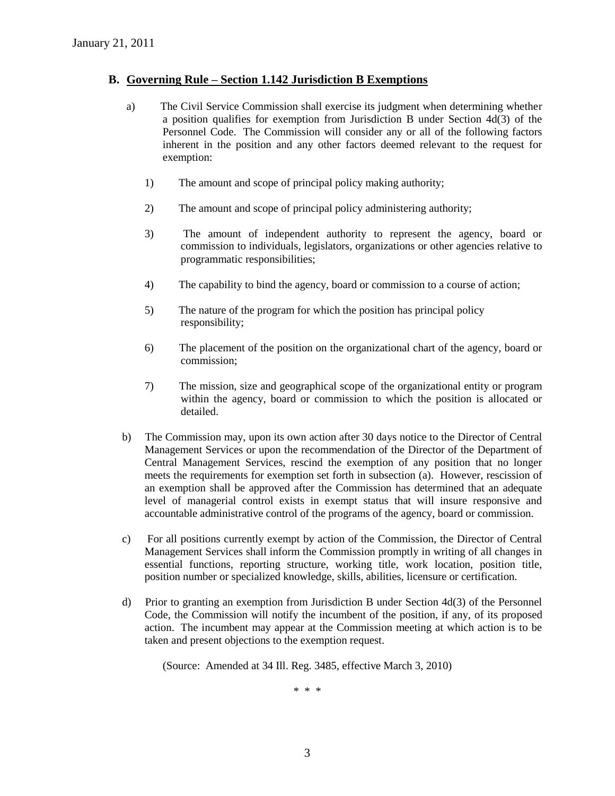# **B. Governing Rule – Section 1.142 Jurisdiction B Exemptions**

- a) The Civil Service Commission shall exercise its judgment when determining whether a position qualifies for exemption from Jurisdiction B under Section 4d(3) of the Personnel Code. The Commission will consider any or all of the following factors inherent in the position and any other factors deemed relevant to the request for exemption:
	- 1) The amount and scope of principal policy making authority;
	- 2) The amount and scope of principal policy administering authority;
	- 3) The amount of independent authority to represent the agency, board or commission to individuals, legislators, organizations or other agencies relative to programmatic responsibilities;
	- 4) The capability to bind the agency, board or commission to a course of action;
	- 5) The nature of the program for which the position has principal policy responsibility;
	- 6) The placement of the position on the organizational chart of the agency, board or commission;
	- 7) The mission, size and geographical scope of the organizational entity or program within the agency, board or commission to which the position is allocated or detailed.
- b) The Commission may, upon its own action after 30 days notice to the Director of Central Management Services or upon the recommendation of the Director of the Department of Central Management Services, rescind the exemption of any position that no longer meets the requirements for exemption set forth in subsection (a). However, rescission of an exemption shall be approved after the Commission has determined that an adequate level of managerial control exists in exempt status that will insure responsive and accountable administrative control of the programs of the agency, board or commission.
- c) For all positions currently exempt by action of the Commission, the Director of Central Management Services shall inform the Commission promptly in writing of all changes in essential functions, reporting structure, working title, work location, position title, position number or specialized knowledge, skills, abilities, licensure or certification.
- d) Prior to granting an exemption from Jurisdiction B under Section 4d(3) of the Personnel Code, the Commission will notify the incumbent of the position, if any, of its proposed action. The incumbent may appear at the Commission meeting at which action is to be taken and present objections to the exemption request.

(Source: Amended at 34 Ill. Reg. 3485, effective March 3, 2010)

\* \* \*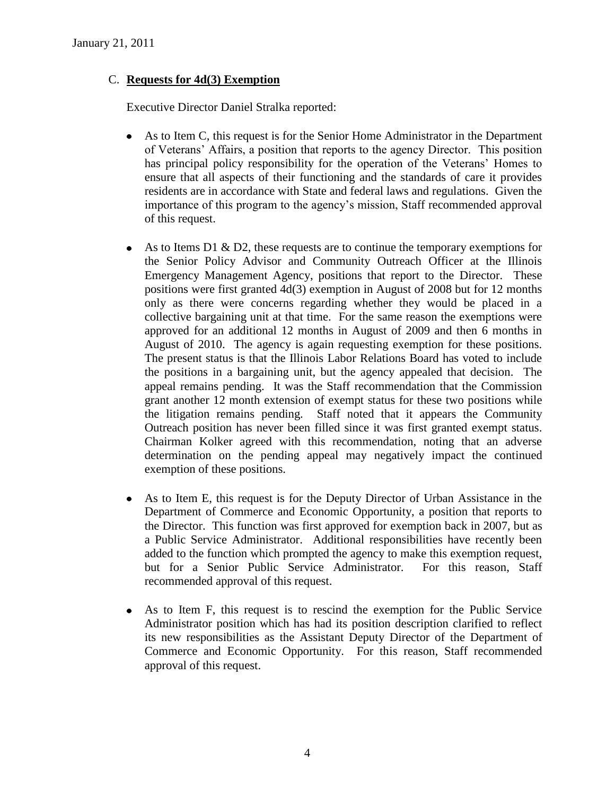# C. **Requests for 4d(3) Exemption**

Executive Director Daniel Stralka reported:

- As to Item C, this request is for the Senior Home Administrator in the Department of Veterans' Affairs, a position that reports to the agency Director. This position has principal policy responsibility for the operation of the Veterans' Homes to ensure that all aspects of their functioning and the standards of care it provides residents are in accordance with State and federal laws and regulations. Given the importance of this program to the agency's mission, Staff recommended approval of this request.
- As to Items D1 & D2, these requests are to continue the temporary exemptions for the Senior Policy Advisor and Community Outreach Officer at the Illinois Emergency Management Agency, positions that report to the Director. These positions were first granted 4d(3) exemption in August of 2008 but for 12 months only as there were concerns regarding whether they would be placed in a collective bargaining unit at that time. For the same reason the exemptions were approved for an additional 12 months in August of 2009 and then 6 months in August of 2010. The agency is again requesting exemption for these positions. The present status is that the Illinois Labor Relations Board has voted to include the positions in a bargaining unit, but the agency appealed that decision. The appeal remains pending. It was the Staff recommendation that the Commission grant another 12 month extension of exempt status for these two positions while the litigation remains pending. Staff noted that it appears the Community Outreach position has never been filled since it was first granted exempt status. Chairman Kolker agreed with this recommendation, noting that an adverse determination on the pending appeal may negatively impact the continued exemption of these positions.
- As to Item E, this request is for the Deputy Director of Urban Assistance in the Department of Commerce and Economic Opportunity, a position that reports to the Director. This function was first approved for exemption back in 2007, but as a Public Service Administrator. Additional responsibilities have recently been added to the function which prompted the agency to make this exemption request, but for a Senior Public Service Administrator. For this reason, Staff recommended approval of this request.
- As to Item F, this request is to rescind the exemption for the Public Service Administrator position which has had its position description clarified to reflect its new responsibilities as the Assistant Deputy Director of the Department of Commerce and Economic Opportunity. For this reason, Staff recommended approval of this request.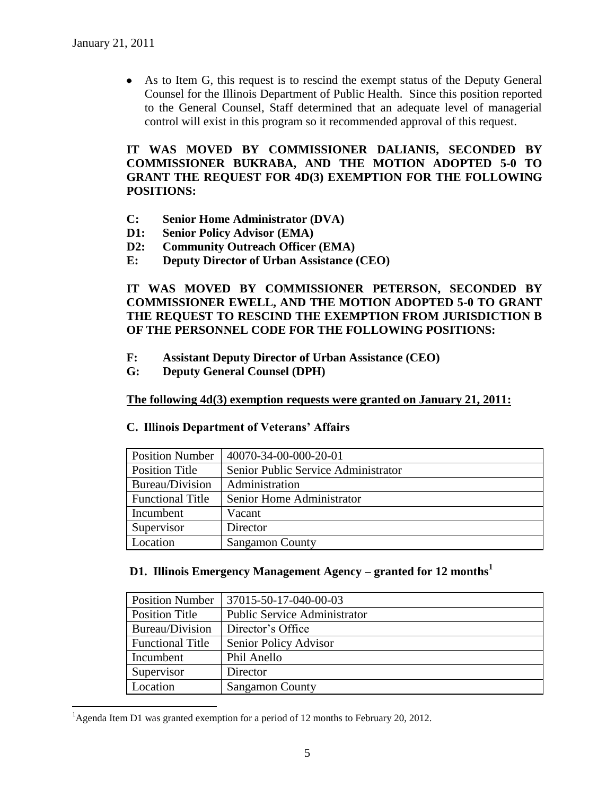$\overline{a}$ 

As to Item G, this request is to rescind the exempt status of the Deputy General Counsel for the Illinois Department of Public Health. Since this position reported to the General Counsel, Staff determined that an adequate level of managerial control will exist in this program so it recommended approval of this request.

**IT WAS MOVED BY COMMISSIONER DALIANIS, SECONDED BY COMMISSIONER BUKRABA, AND THE MOTION ADOPTED 5-0 TO GRANT THE REQUEST FOR 4D(3) EXEMPTION FOR THE FOLLOWING POSITIONS:**

- **C: Senior Home Administrator (DVA)**
- **D1: Senior Policy Advisor (EMA)**
- **D2: Community Outreach Officer (EMA)**
- **E: Deputy Director of Urban Assistance (CEO)**

**IT WAS MOVED BY COMMISSIONER PETERSON, SECONDED BY COMMISSIONER EWELL, AND THE MOTION ADOPTED 5-0 TO GRANT THE REQUEST TO RESCIND THE EXEMPTION FROM JURISDICTION B OF THE PERSONNEL CODE FOR THE FOLLOWING POSITIONS:**

- **F: Assistant Deputy Director of Urban Assistance (CEO)**
- **G: Deputy General Counsel (DPH)**

**The following 4d(3) exemption requests were granted on January 21, 2011:**

| <b>Position Number</b>  | 40070-34-00-000-20-01               |  |
|-------------------------|-------------------------------------|--|
| <b>Position Title</b>   | Senior Public Service Administrator |  |
| Bureau/Division         | Administration                      |  |
| <b>Functional Title</b> | Senior Home Administrator           |  |
| Incumbent               | Vacant                              |  |
| Supervisor              | Director                            |  |
| Location                | <b>Sangamon County</b>              |  |

# **C. Illinois Department of Veterans' Affairs**

#### **D1. Illinois Emergency Management Agency – granted for 12 months<sup>1</sup>**

| <b>Position Number</b>  | 37015-50-17-040-00-03               |  |
|-------------------------|-------------------------------------|--|
| <b>Position Title</b>   | <b>Public Service Administrator</b> |  |
| Bureau/Division         | Director's Office                   |  |
| <b>Functional Title</b> | Senior Policy Advisor               |  |
| Incumbent               | Phil Anello                         |  |
| Supervisor              | Director                            |  |
| Location                | <b>Sangamon County</b>              |  |

<sup>&</sup>lt;sup>1</sup>Agenda Item D1 was granted exemption for a period of 12 months to February 20, 2012.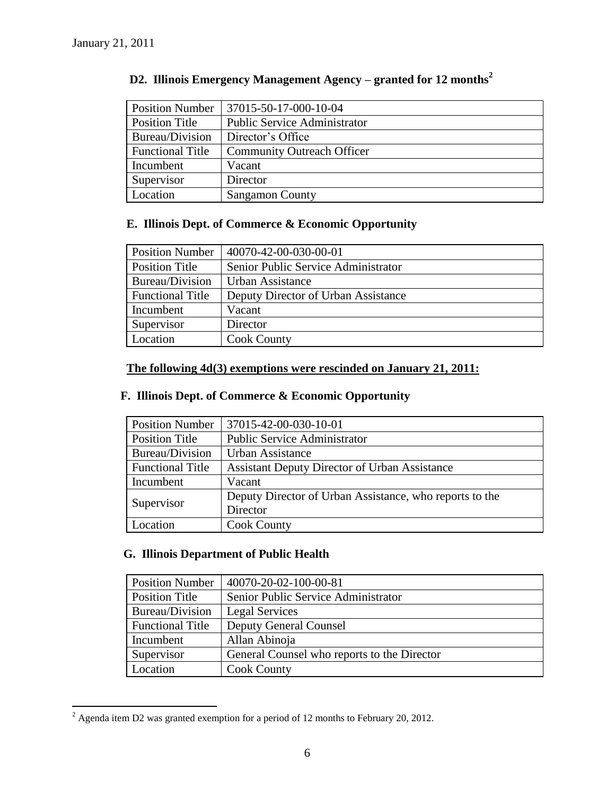$\overline{a}$ 

| <b>Position Number</b>  | 37015-50-17-000-10-04               |
|-------------------------|-------------------------------------|
| <b>Position Title</b>   | <b>Public Service Administrator</b> |
| Bureau/Division         | Director's Office                   |
| <b>Functional Title</b> | <b>Community Outreach Officer</b>   |
| Incumbent               | Vacant                              |
| Supervisor              | Director                            |
| Location                | <b>Sangamon County</b>              |

# **D2. Illinois Emergency Management Agency – granted for 12 months<sup>2</sup>**

# **E. Illinois Dept. of Commerce & Economic Opportunity**

| <b>Position Number</b>  | 40070-42-00-030-00-01               |  |
|-------------------------|-------------------------------------|--|
| <b>Position Title</b>   | Senior Public Service Administrator |  |
| Bureau/Division         | Urban Assistance                    |  |
| <b>Functional Title</b> | Deputy Director of Urban Assistance |  |
| Incumbent               | Vacant                              |  |
| Supervisor              | Director                            |  |
| Location                | <b>Cook County</b>                  |  |

# **The following 4d(3) exemptions were rescinded on January 21, 2011:**

# **F. Illinois Dept. of Commerce & Economic Opportunity**

| <b>Position Number</b>  | 37015-42-00-030-10-01                                   |
|-------------------------|---------------------------------------------------------|
| <b>Position Title</b>   | <b>Public Service Administrator</b>                     |
| Bureau/Division         | Urban Assistance                                        |
| <b>Functional Title</b> | <b>Assistant Deputy Director of Urban Assistance</b>    |
| Incumbent               | Vacant                                                  |
| Supervisor              | Deputy Director of Urban Assistance, who reports to the |
|                         | Director                                                |
| Location                | <b>Cook County</b>                                      |

# **G. Illinois Department of Public Health**

| <b>Position Number</b>  | 40070-20-02-100-00-81                       |  |
|-------------------------|---------------------------------------------|--|
| Position Title          | Senior Public Service Administrator         |  |
| Bureau/Division         | <b>Legal Services</b>                       |  |
| <b>Functional Title</b> | <b>Deputy General Counsel</b>               |  |
| Incumbent               | Allan Abinoja                               |  |
| Supervisor              | General Counsel who reports to the Director |  |
| Location                | <b>Cook County</b>                          |  |

<sup>&</sup>lt;sup>2</sup> Agenda item D2 was granted exemption for a period of 12 months to February 20, 2012.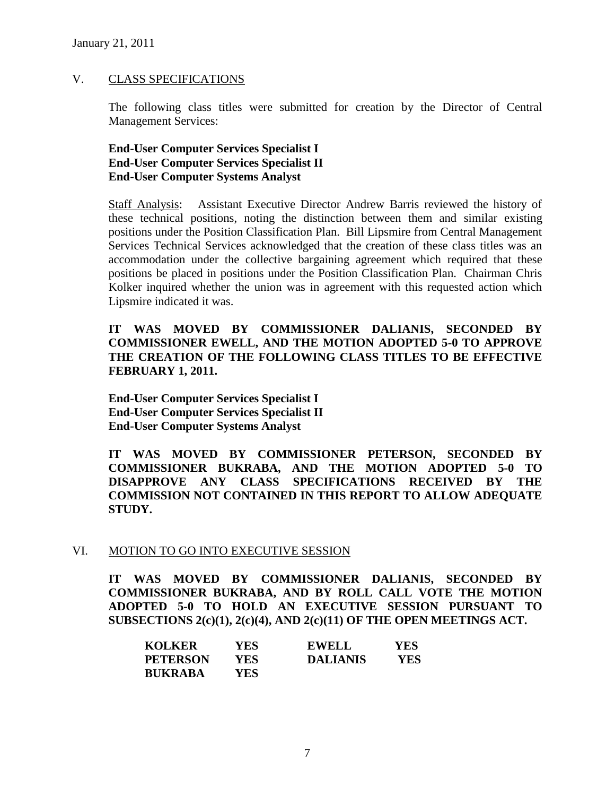#### V. CLASS SPECIFICATIONS

The following class titles were submitted for creation by the Director of Central Management Services:

# **End-User Computer Services Specialist I End-User Computer Services Specialist II End-User Computer Systems Analyst**

Staff Analysis: Assistant Executive Director Andrew Barris reviewed the history of these technical positions, noting the distinction between them and similar existing positions under the Position Classification Plan. Bill Lipsmire from Central Management Services Technical Services acknowledged that the creation of these class titles was an accommodation under the collective bargaining agreement which required that these positions be placed in positions under the Position Classification Plan. Chairman Chris Kolker inquired whether the union was in agreement with this requested action which Lipsmire indicated it was.

**IT WAS MOVED BY COMMISSIONER DALIANIS, SECONDED BY COMMISSIONER EWELL, AND THE MOTION ADOPTED 5-0 TO APPROVE THE CREATION OF THE FOLLOWING CLASS TITLES TO BE EFFECTIVE FEBRUARY 1, 2011.**

**End-User Computer Services Specialist I End-User Computer Services Specialist II End-User Computer Systems Analyst**

**IT WAS MOVED BY COMMISSIONER PETERSON, SECONDED BY COMMISSIONER BUKRABA, AND THE MOTION ADOPTED 5-0 TO DISAPPROVE ANY CLASS SPECIFICATIONS RECEIVED BY THE COMMISSION NOT CONTAINED IN THIS REPORT TO ALLOW ADEQUATE STUDY.** 

# VI. MOTION TO GO INTO EXECUTIVE SESSION

**IT WAS MOVED BY COMMISSIONER DALIANIS, SECONDED BY COMMISSIONER BUKRABA, AND BY ROLL CALL VOTE THE MOTION ADOPTED 5-0 TO HOLD AN EXECUTIVE SESSION PURSUANT TO SUBSECTIONS 2(c)(1), 2(c)(4), AND 2(c)(11) OF THE OPEN MEETINGS ACT.** 

| <b>KOLKER</b>  | YES.       | <b>EWELL</b>    | YES |
|----------------|------------|-----------------|-----|
| PETERSON       | <b>YES</b> | <b>DALIANIS</b> | YES |
| <b>BUKRABA</b> | YES        |                 |     |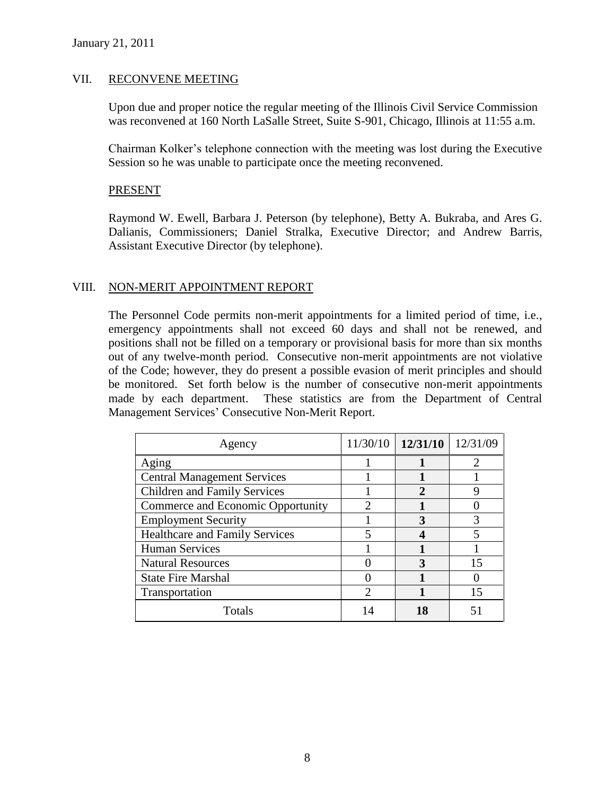#### VII. RECONVENE MEETING

Upon due and proper notice the regular meeting of the Illinois Civil Service Commission was reconvened at 160 North LaSalle Street, Suite S-901, Chicago, Illinois at 11:55 a.m.

Chairman Kolker's telephone connection with the meeting was lost during the Executive Session so he was unable to participate once the meeting reconvened.

#### PRESENT

Raymond W. Ewell, Barbara J. Peterson (by telephone), Betty A. Bukraba, and Ares G. Dalianis, Commissioners; Daniel Stralka, Executive Director; and Andrew Barris, Assistant Executive Director (by telephone).

# VIII. NON-MERIT APPOINTMENT REPORT

The Personnel Code permits non-merit appointments for a limited period of time, i.e., emergency appointments shall not exceed 60 days and shall not be renewed, and positions shall not be filled on a temporary or provisional basis for more than six months out of any twelve-month period. Consecutive non-merit appointments are not violative of the Code; however, they do present a possible evasion of merit principles and should be monitored. Set forth below is the number of consecutive non-merit appointments made by each department. These statistics are from the Department of Central Management Services' Consecutive Non-Merit Report.

| Agency                                |   | $11/30/10$   12/31/10 | 12/31/09 |
|---------------------------------------|---|-----------------------|----------|
| Aging                                 |   |                       |          |
| <b>Central Management Services</b>    |   |                       |          |
| <b>Children and Family Services</b>   |   | 2                     |          |
| Commerce and Economic Opportunity     |   |                       |          |
| <b>Employment Security</b>            |   |                       |          |
| <b>Healthcare and Family Services</b> | 5 |                       |          |
| <b>Human Services</b>                 |   |                       |          |
| <b>Natural Resources</b>              |   | ว                     | 15       |
| <b>State Fire Marshal</b>             |   |                       |          |
| Transportation                        |   |                       |          |
| Totals                                |   |                       |          |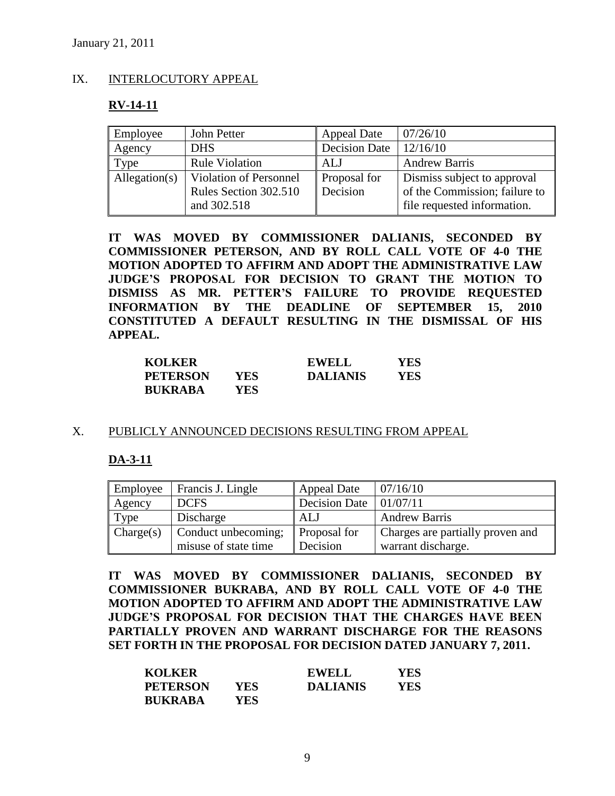# IX. INTERLOCUTORY APPEAL

#### **RV-14-11**

| Employee      | John Petter            | <b>Appeal Date</b>   | 07/26/10                      |
|---------------|------------------------|----------------------|-------------------------------|
| Agency        | <b>DHS</b>             | <b>Decision Date</b> | 12/16/10                      |
| Type          | <b>Rule Violation</b>  | ALJ                  | <b>Andrew Barris</b>          |
| Allegation(s) | Violation of Personnel | Proposal for         | Dismiss subject to approval   |
|               | Rules Section 302.510  | Decision             | of the Commission; failure to |
|               | and 302.518            |                      | file requested information.   |

**IT WAS MOVED BY COMMISSIONER DALIANIS, SECONDED BY COMMISSIONER PETERSON, AND BY ROLL CALL VOTE OF 4-0 THE MOTION ADOPTED TO AFFIRM AND ADOPT THE ADMINISTRATIVE LAW JUDGE'S PROPOSAL FOR DECISION TO GRANT THE MOTION TO DISMISS AS MR. PETTER'S FAILURE TO PROVIDE REQUESTED INFORMATION BY THE DEADLINE OF SEPTEMBER 15, 2010 CONSTITUTED A DEFAULT RESULTING IN THE DISMISSAL OF HIS APPEAL.**

| <b>KOLKER</b>   |            | <b>EWELL</b>    | YES  |
|-----------------|------------|-----------------|------|
| <b>PETERSON</b> | <b>YES</b> | <b>DALIANIS</b> | YES. |
| <b>BUKRABA</b>  | YES.       |                 |      |

#### X. PUBLICLY ANNOUNCED DECISIONS RESULTING FROM APPEAL

# **DA-3-11**

| Employee  | Francis J. Lingle    | <b>Appeal Date</b>  | 07/16/10                         |
|-----------|----------------------|---------------------|----------------------------------|
| Agency    | <b>DCFS</b>          | Decision Date       | 101/07/11                        |
| Type      | Discharge            | ALJ                 | <b>Andrew Barris</b>             |
| Change(s) | Conduct unbecoming;  | <b>Proposal</b> for | Charges are partially proven and |
|           | misuse of state time | Decision            | warrant discharge.               |

**IT WAS MOVED BY COMMISSIONER DALIANIS, SECONDED BY COMMISSIONER BUKRABA, AND BY ROLL CALL VOTE OF 4-0 THE MOTION ADOPTED TO AFFIRM AND ADOPT THE ADMINISTRATIVE LAW JUDGE'S PROPOSAL FOR DECISION THAT THE CHARGES HAVE BEEN PARTIALLY PROVEN AND WARRANT DISCHARGE FOR THE REASONS SET FORTH IN THE PROPOSAL FOR DECISION DATED JANUARY 7, 2011.** 

| <b>KOLKER</b>   |      | <b>EWELL</b>    | YES |
|-----------------|------|-----------------|-----|
| <b>PETERSON</b> | YES. | <b>DALIANIS</b> | YES |
| <b>BUKRABA</b>  | YES  |                 |     |